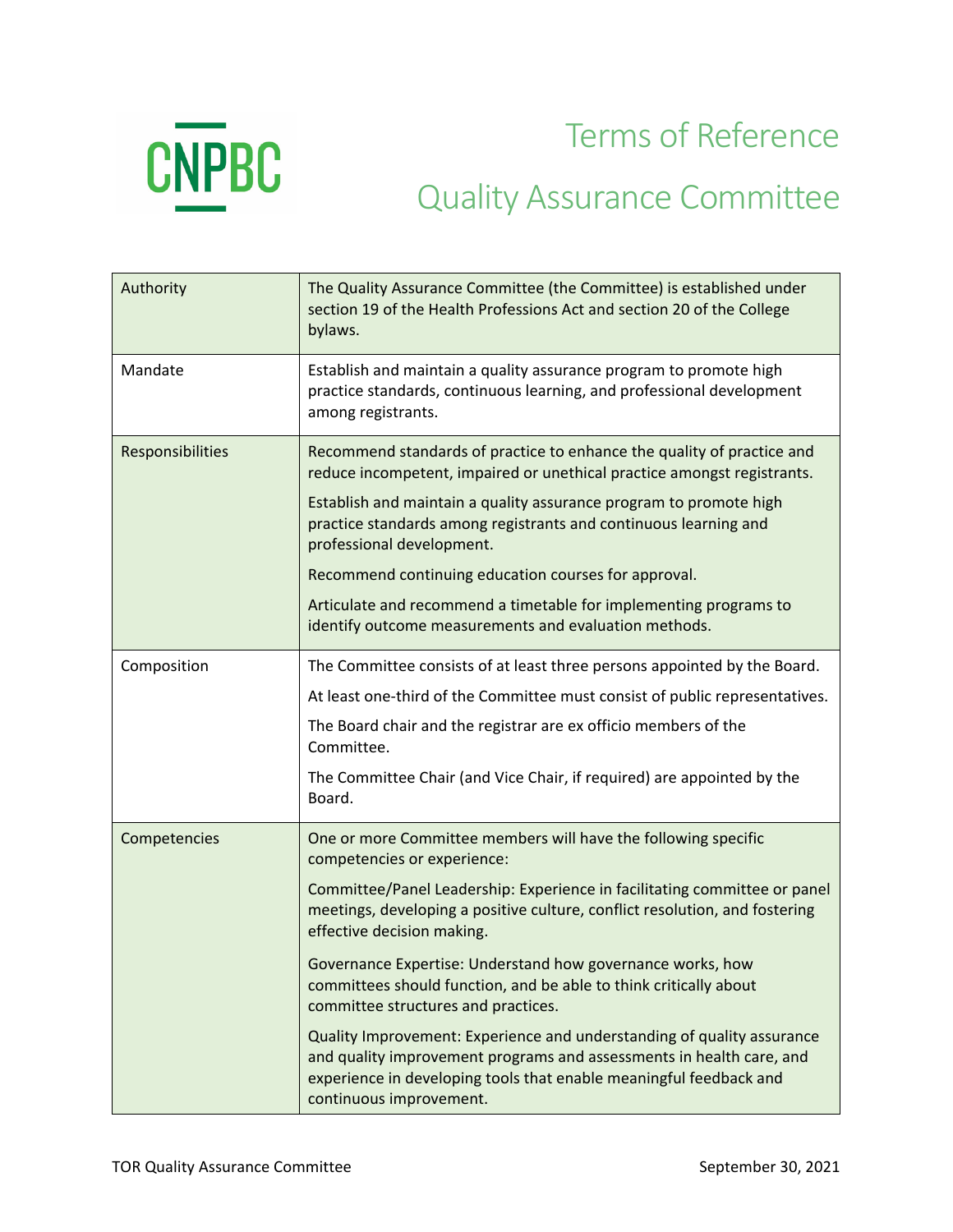

Terms of Reference

## Quality Assurance Committee

| Authority        | The Quality Assurance Committee (the Committee) is established under<br>section 19 of the Health Professions Act and section 20 of the College<br>bylaws.                                                                                       |
|------------------|-------------------------------------------------------------------------------------------------------------------------------------------------------------------------------------------------------------------------------------------------|
| Mandate          | Establish and maintain a quality assurance program to promote high<br>practice standards, continuous learning, and professional development<br>among registrants.                                                                               |
| Responsibilities | Recommend standards of practice to enhance the quality of practice and<br>reduce incompetent, impaired or unethical practice amongst registrants.                                                                                               |
|                  | Establish and maintain a quality assurance program to promote high<br>practice standards among registrants and continuous learning and<br>professional development.                                                                             |
|                  | Recommend continuing education courses for approval.                                                                                                                                                                                            |
|                  | Articulate and recommend a timetable for implementing programs to<br>identify outcome measurements and evaluation methods.                                                                                                                      |
| Composition      | The Committee consists of at least three persons appointed by the Board.                                                                                                                                                                        |
|                  | At least one-third of the Committee must consist of public representatives.                                                                                                                                                                     |
|                  | The Board chair and the registrar are ex officio members of the<br>Committee.                                                                                                                                                                   |
|                  | The Committee Chair (and Vice Chair, if required) are appointed by the<br>Board.                                                                                                                                                                |
| Competencies     | One or more Committee members will have the following specific<br>competencies or experience:                                                                                                                                                   |
|                  | Committee/Panel Leadership: Experience in facilitating committee or panel<br>meetings, developing a positive culture, conflict resolution, and fostering<br>effective decision making.                                                          |
|                  | Governance Expertise: Understand how governance works, how<br>committees should function, and be able to think critically about<br>committee structures and practices.                                                                          |
|                  | Quality Improvement: Experience and understanding of quality assurance<br>and quality improvement programs and assessments in health care, and<br>experience in developing tools that enable meaningful feedback and<br>continuous improvement. |